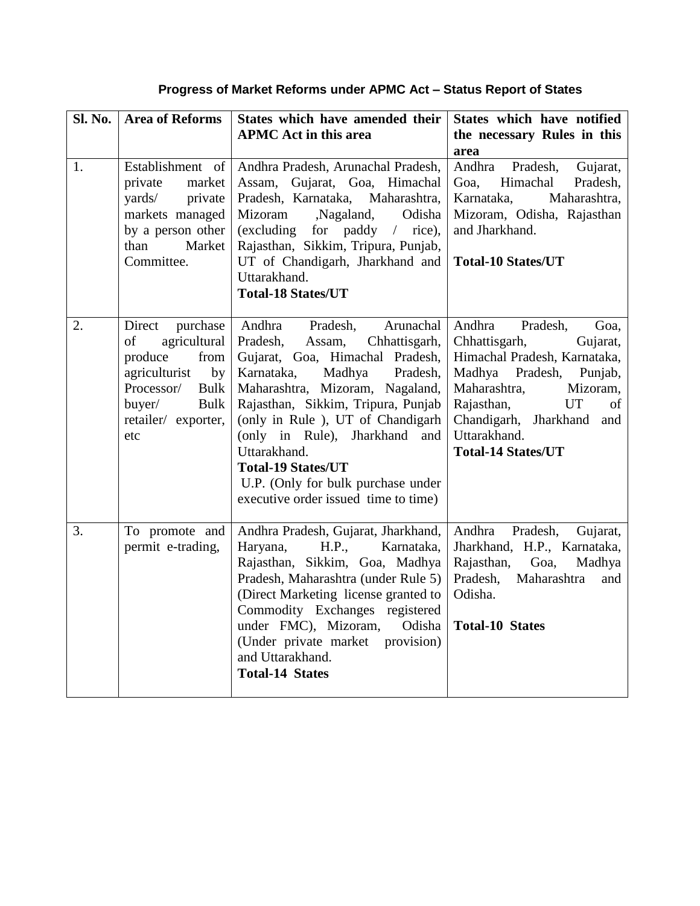## **Progress of Market Reforms under APMC Act – Status Report of States**

| <b>Sl. No.</b> | <b>Area of Reforms</b>                                                                                                                                          | States which have amended their<br><b>APMC</b> Act in this area                                                                                                                                                                                                                                                                                                                                                     | States which have notified<br>the necessary Rules in this<br>area                                                                                                                                                                                            |
|----------------|-----------------------------------------------------------------------------------------------------------------------------------------------------------------|---------------------------------------------------------------------------------------------------------------------------------------------------------------------------------------------------------------------------------------------------------------------------------------------------------------------------------------------------------------------------------------------------------------------|--------------------------------------------------------------------------------------------------------------------------------------------------------------------------------------------------------------------------------------------------------------|
| 1.             | Establishment of<br>private<br>market<br>yards/<br>private<br>markets managed<br>by a person other<br>Market<br>than<br>Committee.                              | Andhra Pradesh, Arunachal Pradesh,<br>Assam, Gujarat, Goa, Himachal<br>Pradesh, Karnataka, Maharashtra,<br>Nagaland,<br>Mizoram<br>Odisha<br>(excluding for paddy $/$ rice),<br>Rajasthan, Sikkim, Tripura, Punjab,<br>UT of Chandigarh, Jharkhand and<br>Uttarakhand.<br><b>Total-18 States/UT</b>                                                                                                                 | Andhra<br>Pradesh,<br>Gujarat,<br>Himachal<br>Pradesh,<br>Goa,<br>Karnataka,<br>Maharashtra,<br>Mizoram, Odisha, Rajasthan<br>and Jharkhand.<br><b>Total-10 States/UT</b>                                                                                    |
| 2.             | Direct<br>purchase<br>agricultural<br>of<br>produce<br>from<br>agriculturist<br>by<br>Processor/<br><b>Bulk</b><br>buyer/<br>Bulk<br>retailer/ exporter,<br>etc | Andhra<br>Pradesh,<br>Arunachal<br>Pradesh,<br>Assam,<br>Chhattisgarh,<br>Gujarat, Goa, Himachal Pradesh,<br>Madhya Pradesh,<br>Karnataka,<br>Maharashtra, Mizoram, Nagaland,<br>Rajasthan, Sikkim, Tripura, Punjab<br>(only in Rule), UT of Chandigarh<br>(only in Rule), Jharkhand and<br>Uttarakhand.<br><b>Total-19 States/UT</b><br>U.P. (Only for bulk purchase under<br>executive order issued time to time) | Andhra<br>Pradesh,<br>Goa,<br>Chhattisgarh,<br>Gujarat,<br>Himachal Pradesh, Karnataka,<br>Madhya Pradesh, Punjab,<br>Maharashtra,<br>Mizoram,<br>Rajasthan,<br><b>UT</b><br>of<br>Chandigarh, Jharkhand<br>and<br>Uttarakhand.<br><b>Total-14 States/UT</b> |
| 3.             | To promote and<br>permit e-trading,                                                                                                                             | Andhra Pradesh, Gujarat, Jharkhand,<br>H.P.,<br>Karnataka,<br>Haryana,<br>Rajasthan, Sikkim, Goa, Madhya<br>Pradesh, Maharashtra (under Rule 5)<br>(Direct Marketing license granted to<br>Commodity Exchanges registered<br>under FMC), Mizoram,<br>Odisha<br>(Under private market provision)<br>and Uttarakhand.<br><b>Total-14 States</b>                                                                       | Andhra<br>Pradesh,<br>Gujarat,<br>Jharkhand, H.P., Karnataka,<br>Rajasthan,<br>Goa,<br>Madhya<br>Pradesh,<br>Maharashtra<br>and<br>Odisha.<br><b>Total-10 States</b>                                                                                         |